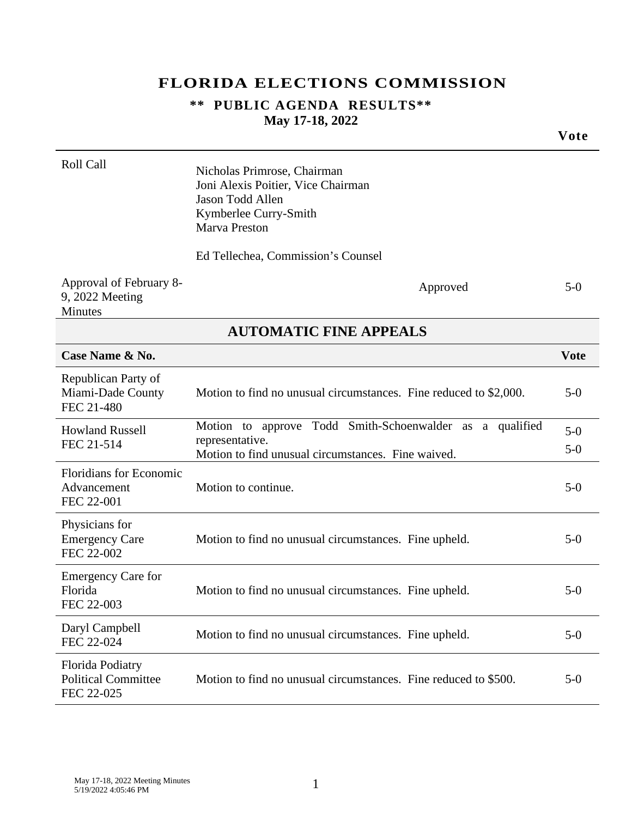### **FLORIDA ELECTIONS COMMISSION**

#### **\*\* PUBLIC AGENDA RESULTS\*\* May 17-18, 2022**

|                                                              |                                                                                                                                        | Vote           |
|--------------------------------------------------------------|----------------------------------------------------------------------------------------------------------------------------------------|----------------|
| Roll Call                                                    | Nicholas Primrose, Chairman<br>Joni Alexis Poitier, Vice Chairman<br>Jason Todd Allen<br>Kymberlee Curry-Smith<br><b>Marva Preston</b> |                |
|                                                              | Ed Tellechea, Commission's Counsel                                                                                                     |                |
| Approval of February 8-<br>9, 2022 Meeting<br>Minutes        | Approved                                                                                                                               | $5-0$          |
|                                                              | <b>AUTOMATIC FINE APPEALS</b>                                                                                                          |                |
| Case Name & No.                                              |                                                                                                                                        | <b>Vote</b>    |
| Republican Party of<br>Miami-Dade County<br>FEC 21-480       | Motion to find no unusual circumstances. Fine reduced to \$2,000.                                                                      | $5-0$          |
| <b>Howland Russell</b><br>FEC 21-514                         | Motion to approve Todd Smith-Schoenwalder as a qualified<br>representative.<br>Motion to find unusual circumstances. Fine waived.      | $5-0$<br>$5-0$ |
| <b>Floridians for Economic</b><br>Advancement<br>FEC 22-001  | Motion to continue.                                                                                                                    | $5-0$          |
| Physicians for<br><b>Emergency Care</b><br>FEC 22-002        | Motion to find no unusual circumstances. Fine upheld.                                                                                  | $5-0$          |
| <b>Emergency Care for</b><br>Florida<br>FEC 22-003           | Motion to find no unusual circumstances. Fine upheld.                                                                                  | $5-0$          |
| Daryl Campbell<br>FEC 22-024                                 | Motion to find no unusual circumstances. Fine upheld.                                                                                  | $5-0$          |
| Florida Podiatry<br><b>Political Committee</b><br>FEC 22-025 | Motion to find no unusual circumstances. Fine reduced to \$500.                                                                        | $5-0$          |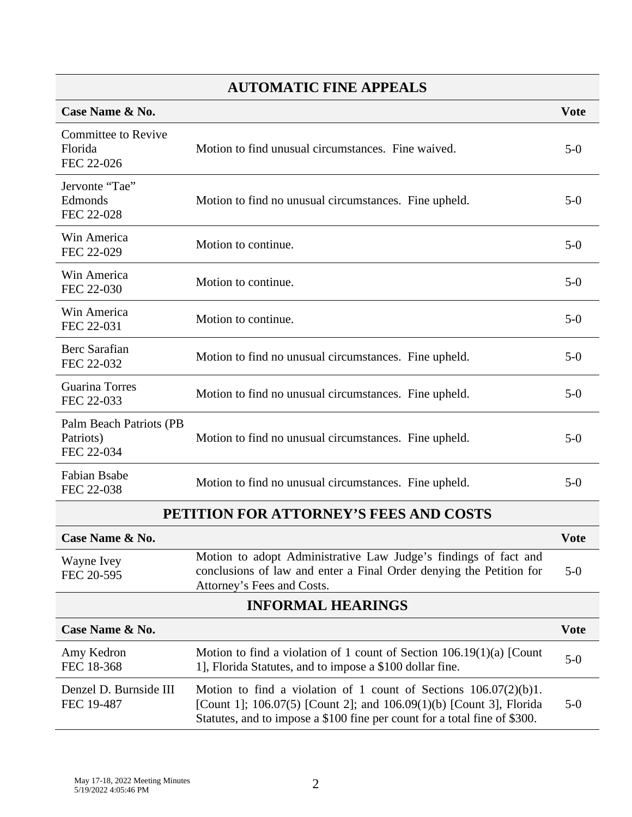# **AUTOMATIC FINE APPEALS**

| Case Name & No.                                     |                                                                                                                                                                                                                         | <b>Vote</b> |
|-----------------------------------------------------|-------------------------------------------------------------------------------------------------------------------------------------------------------------------------------------------------------------------------|-------------|
| <b>Committee to Revive</b><br>Florida<br>FEC 22-026 | Motion to find unusual circumstances. Fine waived.                                                                                                                                                                      | $5-0$       |
| Jervonte "Tae"<br>Edmonds<br>FEC 22-028             | Motion to find no unusual circumstances. Fine upheld.                                                                                                                                                                   | $5-0$       |
| Win America<br>FEC 22-029                           | Motion to continue.                                                                                                                                                                                                     | $5-0$       |
| Win America<br>FEC 22-030                           | Motion to continue.                                                                                                                                                                                                     | $5-0$       |
| Win America<br>FEC 22-031                           | Motion to continue.                                                                                                                                                                                                     | $5-0$       |
| Berc Sarafian<br>FEC 22-032                         | Motion to find no unusual circumstances. Fine upheld.                                                                                                                                                                   | $5-0$       |
| Guarina Torres<br>FEC 22-033                        | Motion to find no unusual circumstances. Fine upheld.                                                                                                                                                                   | $5-0$       |
| Palm Beach Patriots (PB<br>Patriots)<br>FEC 22-034  | Motion to find no unusual circumstances. Fine upheld.                                                                                                                                                                   | $5-0$       |
| Fabian Bsabe<br>FEC 22-038                          | Motion to find no unusual circumstances. Fine upheld.                                                                                                                                                                   | $5-0$       |
| PETITION FOR ATTORNEY'S FEES AND COSTS              |                                                                                                                                                                                                                         |             |
| Case Name & No.                                     |                                                                                                                                                                                                                         | <b>Vote</b> |
| Wayne Ivey<br>FEC 20-595                            | Motion to adopt Administrative Law Judge's findings of fact and<br>conclusions of law and enter a Final Order denying the Petition for<br>Attorney's Fees and Costs.                                                    | $5-0$       |
| <b>INFORMAL HEARINGS</b>                            |                                                                                                                                                                                                                         |             |
| Case Name & No.<br><b>Vote</b>                      |                                                                                                                                                                                                                         |             |
| Amy Kedron<br>FEC 18-368                            | Motion to find a violation of 1 count of Section 106.19(1)(a) [Count<br>1], Florida Statutes, and to impose a \$100 dollar fine.                                                                                        | $5-0$       |
| Denzel D. Burnside III<br>FEC 19-487                | Motion to find a violation of 1 count of Sections $106.07(2)(b)1$ .<br>[Count 1]; 106.07(5) [Count 2]; and 106.09(1)(b) [Count 3], Florida<br>Statutes, and to impose a \$100 fine per count for a total fine of \$300. | $5-0$       |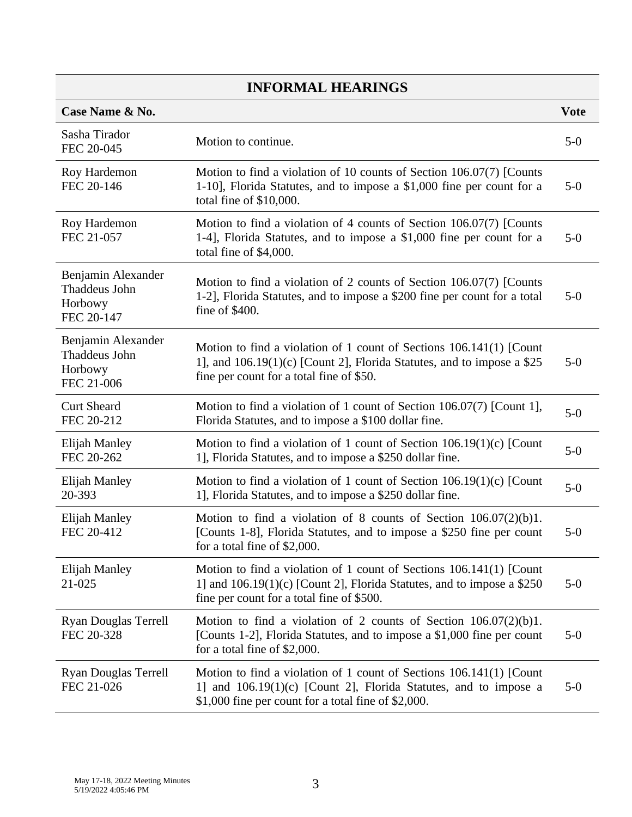| Case Name & No.                                              |                                                                                                                                                                                                | <b>Vote</b> |
|--------------------------------------------------------------|------------------------------------------------------------------------------------------------------------------------------------------------------------------------------------------------|-------------|
| Sasha Tirador<br>FEC 20-045                                  | Motion to continue.                                                                                                                                                                            | $5-0$       |
| Roy Hardemon<br>FEC 20-146                                   | Motion to find a violation of 10 counts of Section 106.07(7) [Counts<br>1-10], Florida Statutes, and to impose a \$1,000 fine per count for a<br>total fine of \$10,000.                       | $5-0$       |
| Roy Hardemon<br>FEC 21-057                                   | Motion to find a violation of 4 counts of Section 106.07(7) [Counts<br>1-4], Florida Statutes, and to impose a \$1,000 fine per count for a<br>total fine of \$4,000.                          | $5-0$       |
| Benjamin Alexander<br>Thaddeus John<br>Horbowy<br>FEC 20-147 | Motion to find a violation of 2 counts of Section 106.07(7) [Counts<br>1-2], Florida Statutes, and to impose a \$200 fine per count for a total<br>fine of \$400.                              | $5-0$       |
| Benjamin Alexander<br>Thaddeus John<br>Horbowy<br>FEC 21-006 | Motion to find a violation of 1 count of Sections 106.141(1) [Count<br>1], and $106.19(1)(c)$ [Count 2], Florida Statutes, and to impose a \$25<br>fine per count for a total fine of \$50.    | $5-0$       |
| <b>Curt Sheard</b><br>FEC 20-212                             | Motion to find a violation of 1 count of Section 106.07(7) [Count 1],<br>Florida Statutes, and to impose a \$100 dollar fine.                                                                  | $5-0$       |
| Elijah Manley<br>FEC 20-262                                  | Motion to find a violation of 1 count of Section $106.19(1)(c)$ [Count<br>1], Florida Statutes, and to impose a \$250 dollar fine.                                                             | $5-0$       |
| Elijah Manley<br>20-393                                      | Motion to find a violation of 1 count of Section $106.19(1)(c)$ [Count<br>1], Florida Statutes, and to impose a \$250 dollar fine.                                                             | $5-0$       |
| Elijah Manley<br>FEC 20-412                                  | Motion to find a violation of 8 counts of Section $106.07(2)(b)1$ .<br>[Counts 1-8], Florida Statutes, and to impose a \$250 fine per count<br>for a total fine of \$2,000.                    | $5-0$       |
| Elijah Manley<br>21-025                                      | Motion to find a violation of 1 count of Sections 106.141(1) [Count<br>1] and $106.19(1)(c)$ [Count 2], Florida Statutes, and to impose a \$250<br>fine per count for a total fine of \$500.   | $5-0$       |
| <b>Ryan Douglas Terrell</b><br>FEC 20-328                    | Motion to find a violation of 2 counts of Section $106.07(2)(b)1$ .<br>[Counts 1-2], Florida Statutes, and to impose a \$1,000 fine per count<br>for a total fine of \$2,000.                  | $5-0$       |
| Ryan Douglas Terrell<br>FEC 21-026                           | Motion to find a violation of 1 count of Sections 106.141(1) [Count<br>1] and 106.19(1)(c) [Count 2], Florida Statutes, and to impose a<br>\$1,000 fine per count for a total fine of \$2,000. | $5-0$       |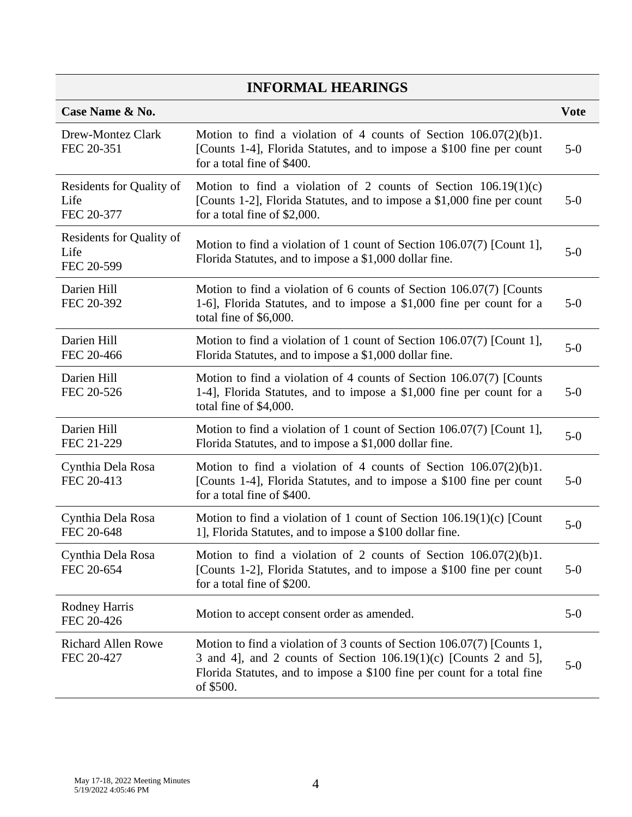| Case Name & No.                                |                                                                                                                                                                                                                                      | <b>Vote</b> |
|------------------------------------------------|--------------------------------------------------------------------------------------------------------------------------------------------------------------------------------------------------------------------------------------|-------------|
| Drew-Montez Clark<br>FEC 20-351                | Motion to find a violation of 4 counts of Section $106.07(2)(b)1$ .<br>[Counts 1-4], Florida Statutes, and to impose a \$100 fine per count<br>for a total fine of \$400.                                                            | $5-0$       |
| Residents for Quality of<br>Life<br>FEC 20-377 | Motion to find a violation of 2 counts of Section $106.19(1)(c)$<br>[Counts 1-2], Florida Statutes, and to impose a \$1,000 fine per count<br>for a total fine of \$2,000.                                                           | $5-0$       |
| Residents for Quality of<br>Life<br>FEC 20-599 | Motion to find a violation of 1 count of Section 106.07(7) [Count 1],<br>Florida Statutes, and to impose a \$1,000 dollar fine.                                                                                                      | $5-0$       |
| Darien Hill<br>FEC 20-392                      | Motion to find a violation of 6 counts of Section 106.07(7) [Counts<br>1-6], Florida Statutes, and to impose a \$1,000 fine per count for a<br>total fine of \$6,000.                                                                | $5-0$       |
| Darien Hill<br>FEC 20-466                      | Motion to find a violation of 1 count of Section 106.07(7) [Count 1],<br>Florida Statutes, and to impose a \$1,000 dollar fine.                                                                                                      | $5-0$       |
| Darien Hill<br>FEC 20-526                      | Motion to find a violation of 4 counts of Section 106.07(7) [Counts<br>1-4], Florida Statutes, and to impose a \$1,000 fine per count for a<br>total fine of \$4,000.                                                                | $5-0$       |
| Darien Hill<br>FEC 21-229                      | Motion to find a violation of 1 count of Section 106.07(7) [Count 1],<br>Florida Statutes, and to impose a \$1,000 dollar fine.                                                                                                      | $5-0$       |
| Cynthia Dela Rosa<br>FEC 20-413                | Motion to find a violation of 4 counts of Section $106.07(2)(b)1$ .<br>[Counts 1-4], Florida Statutes, and to impose a \$100 fine per count<br>for a total fine of \$400.                                                            | $5-0$       |
| Cynthia Dela Rosa<br>FEC 20-648                | Motion to find a violation of 1 count of Section $106.19(1)(c)$ [Count<br>1], Florida Statutes, and to impose a \$100 dollar fine.                                                                                                   | $5-0$       |
| Cynthia Dela Rosa<br>FEC 20-654                | Motion to find a violation of 2 counts of Section $106.07(2)(b)1$ .<br>[Counts 1-2], Florida Statutes, and to impose a \$100 fine per count<br>for a total fine of \$200.                                                            | $5-0$       |
| <b>Rodney Harris</b><br>FEC 20-426             | Motion to accept consent order as amended.                                                                                                                                                                                           | $5-0$       |
| <b>Richard Allen Rowe</b><br>FEC 20-427        | Motion to find a violation of 3 counts of Section 106.07(7) [Counts 1,<br>3 and 4], and 2 counts of Section $106.19(1)(c)$ [Counts 2 and 5],<br>Florida Statutes, and to impose a \$100 fine per count for a total fine<br>of \$500. | $5-0$       |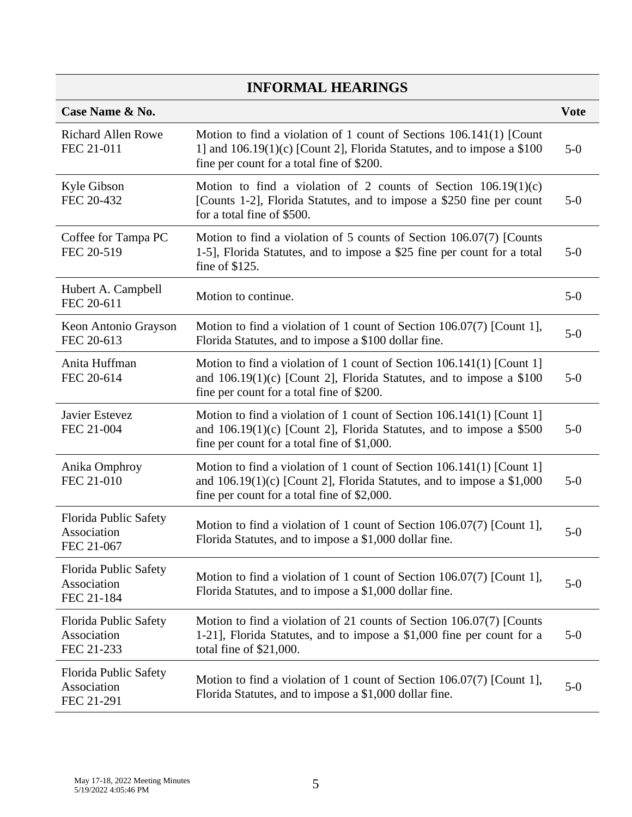| Case Name & No.                                    |                                                                                                                                                                                                 | <b>Vote</b> |
|----------------------------------------------------|-------------------------------------------------------------------------------------------------------------------------------------------------------------------------------------------------|-------------|
| <b>Richard Allen Rowe</b><br>FEC 21-011            | Motion to find a violation of 1 count of Sections 106.141(1) [Count<br>1] and $106.19(1)(c)$ [Count 2], Florida Statutes, and to impose a \$100<br>fine per count for a total fine of \$200.    | $5-0$       |
| Kyle Gibson<br>FEC 20-432                          | Motion to find a violation of 2 counts of Section $106.19(1)(c)$<br>[Counts 1-2], Florida Statutes, and to impose a \$250 fine per count<br>for a total fine of \$500.                          | $5-0$       |
| Coffee for Tampa PC<br>FEC 20-519                  | Motion to find a violation of 5 counts of Section 106.07(7) [Counts<br>1-5], Florida Statutes, and to impose a \$25 fine per count for a total<br>fine of \$125.                                | $5-0$       |
| Hubert A. Campbell<br>FEC 20-611                   | Motion to continue.                                                                                                                                                                             | $5-0$       |
| Keon Antonio Grayson<br>FEC 20-613                 | Motion to find a violation of 1 count of Section 106.07(7) [Count 1],<br>Florida Statutes, and to impose a \$100 dollar fine.                                                                   | $5-0$       |
| Anita Huffman<br>FEC 20-614                        | Motion to find a violation of 1 count of Section 106.141(1) [Count 1]<br>and $106.19(1)(c)$ [Count 2], Florida Statutes, and to impose a \$100<br>fine per count for a total fine of \$200.     | $5-0$       |
| Javier Estevez<br>FEC 21-004                       | Motion to find a violation of 1 count of Section 106.141(1) [Count 1]<br>and $106.19(1)(c)$ [Count 2], Florida Statutes, and to impose a \$500<br>fine per count for a total fine of $$1,000$ . | $5-0$       |
| Anika Omphroy<br>FEC 21-010                        | Motion to find a violation of 1 count of Section 106.141(1) [Count 1]<br>and $106.19(1)(c)$ [Count 2], Florida Statutes, and to impose a \$1,000<br>fine per count for a total fine of \$2,000. | $5-0$       |
| Florida Public Safety<br>Association<br>FEC 21-067 | Motion to find a violation of 1 count of Section 106.07(7) [Count 1],<br>Florida Statutes, and to impose a \$1,000 dollar fine.                                                                 | $5-0$       |
| Florida Public Safety<br>Association<br>FEC 21-184 | Motion to find a violation of 1 count of Section $106.07(7)$ [Count 1],<br>Florida Statutes, and to impose a \$1,000 dollar fine.                                                               | $5-0$       |
| Florida Public Safety<br>Association<br>FEC 21-233 | Motion to find a violation of 21 counts of Section 106.07(7) [Counts<br>1-21], Florida Statutes, and to impose a \$1,000 fine per count for a<br>total fine of \$21,000.                        | $5-0$       |
| Florida Public Safety<br>Association<br>FEC 21-291 | Motion to find a violation of 1 count of Section $106.07(7)$ [Count 1],<br>Florida Statutes, and to impose a \$1,000 dollar fine.                                                               | $5-0$       |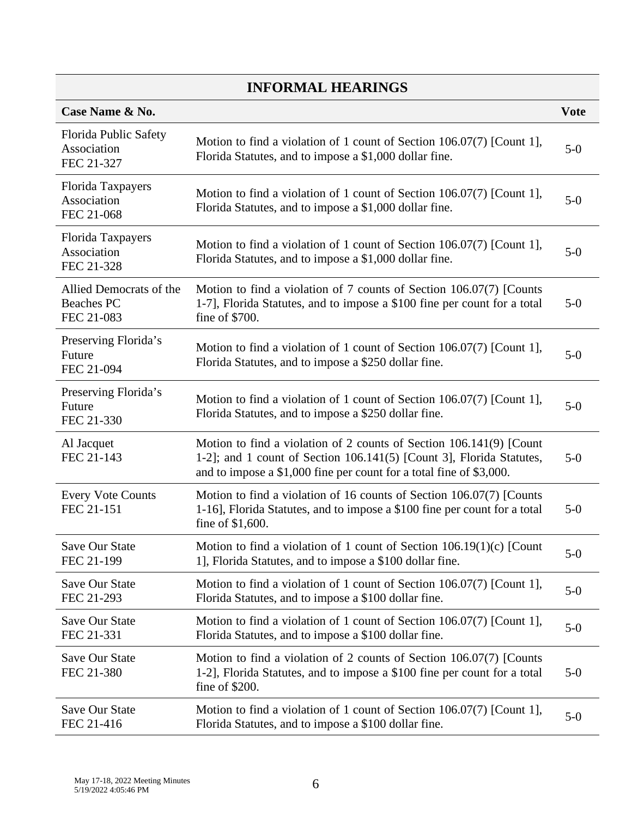| Case Name & No.                                            |                                                                                                                                                                                                                    | <b>Vote</b> |
|------------------------------------------------------------|--------------------------------------------------------------------------------------------------------------------------------------------------------------------------------------------------------------------|-------------|
| Florida Public Safety<br>Association<br>FEC 21-327         | Motion to find a violation of 1 count of Section 106.07(7) [Count 1],<br>Florida Statutes, and to impose a \$1,000 dollar fine.                                                                                    | $5-0$       |
| Florida Taxpayers<br>Association<br>FEC 21-068             | Motion to find a violation of 1 count of Section 106.07(7) [Count 1],<br>Florida Statutes, and to impose a \$1,000 dollar fine.                                                                                    | $5-0$       |
| Florida Taxpayers<br>Association<br>FEC 21-328             | Motion to find a violation of 1 count of Section 106.07(7) [Count 1],<br>Florida Statutes, and to impose a \$1,000 dollar fine.                                                                                    | $5-0$       |
| Allied Democrats of the<br><b>Beaches PC</b><br>FEC 21-083 | Motion to find a violation of 7 counts of Section 106.07(7) [Counts<br>1-7], Florida Statutes, and to impose a \$100 fine per count for a total<br>fine of \$700.                                                  | $5-0$       |
| Preserving Florida's<br>Future<br>FEC 21-094               | Motion to find a violation of 1 count of Section 106.07(7) [Count 1],<br>Florida Statutes, and to impose a \$250 dollar fine.                                                                                      | $5-0$       |
| Preserving Florida's<br>Future<br>FEC 21-330               | Motion to find a violation of 1 count of Section 106.07(7) [Count 1],<br>Florida Statutes, and to impose a \$250 dollar fine.                                                                                      | $5-0$       |
| Al Jacquet<br>FEC 21-143                                   | Motion to find a violation of 2 counts of Section 106.141(9) [Count<br>1-2]; and 1 count of Section 106.141(5) [Count 3], Florida Statutes,<br>and to impose a \$1,000 fine per count for a total fine of \$3,000. | $5-0$       |
| <b>Every Vote Counts</b><br>FEC 21-151                     | Motion to find a violation of 16 counts of Section 106.07(7) [Counts<br>1-16], Florida Statutes, and to impose a \$100 fine per count for a total<br>fine of \$1,600.                                              | $5-0$       |
| Save Our State<br>FEC 21-199                               | Motion to find a violation of 1 count of Section $106.19(1)(c)$ [Count<br>1], Florida Statutes, and to impose a \$100 dollar fine.                                                                                 | $5-0$       |
| Save Our State<br>FEC 21-293                               | Motion to find a violation of 1 count of Section 106.07(7) [Count 1],<br>Florida Statutes, and to impose a \$100 dollar fine.                                                                                      | $5-0$       |
| Save Our State<br>FEC 21-331                               | Motion to find a violation of 1 count of Section 106.07(7) [Count 1],<br>Florida Statutes, and to impose a \$100 dollar fine.                                                                                      | $5-0$       |
| Save Our State<br>FEC 21-380                               | Motion to find a violation of 2 counts of Section 106.07(7) [Counts<br>1-2], Florida Statutes, and to impose a \$100 fine per count for a total<br>fine of $$200.$                                                 | $5-0$       |
| Save Our State<br>FEC 21-416                               | Motion to find a violation of 1 count of Section 106.07(7) [Count 1],<br>Florida Statutes, and to impose a \$100 dollar fine.                                                                                      | $5-0$       |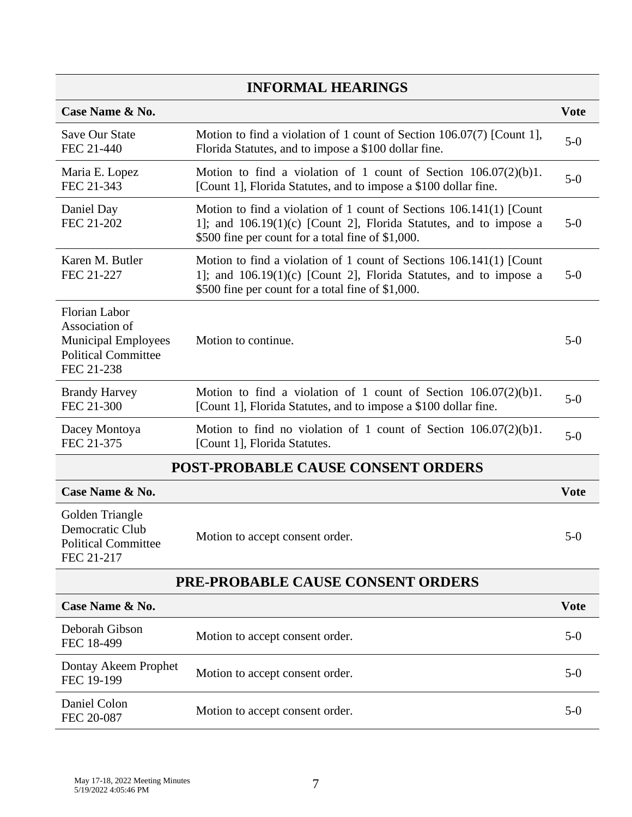| Case Name & No.                                                                                                  |                                                                                                                                                                                                 | <b>Vote</b> |
|------------------------------------------------------------------------------------------------------------------|-------------------------------------------------------------------------------------------------------------------------------------------------------------------------------------------------|-------------|
| <b>Save Our State</b><br>FEC 21-440                                                                              | Motion to find a violation of 1 count of Section 106.07(7) [Count 1],<br>Florida Statutes, and to impose a \$100 dollar fine.                                                                   | $5-0$       |
| Maria E. Lopez<br>FEC 21-343                                                                                     | Motion to find a violation of 1 count of Section $106.07(2)(b)1$ .<br>[Count 1], Florida Statutes, and to impose a \$100 dollar fine.                                                           | $5-0$       |
| Daniel Day<br>FEC 21-202                                                                                         | Motion to find a violation of 1 count of Sections 106.141(1) [Count<br>1]; and $106.19(1)(c)$ [Count 2], Florida Statutes, and to impose a<br>\$500 fine per count for a total fine of \$1,000. | $5-0$       |
| Karen M. Butler<br>FEC 21-227                                                                                    | Motion to find a violation of 1 count of Sections 106.141(1) [Count<br>1]; and $106.19(1)(c)$ [Count 2], Florida Statutes, and to impose a<br>\$500 fine per count for a total fine of \$1,000. | $5-0$       |
| <b>Florian Labor</b><br>Association of<br><b>Municipal Employees</b><br><b>Political Committee</b><br>FEC 21-238 | Motion to continue.                                                                                                                                                                             | $5-0$       |
| <b>Brandy Harvey</b><br>FEC 21-300                                                                               | Motion to find a violation of 1 count of Section $106.07(2)(b)1$ .<br>[Count 1], Florida Statutes, and to impose a \$100 dollar fine.                                                           | $5-0$       |
| Dacey Montoya<br>FEC 21-375                                                                                      | Motion to find no violation of 1 count of Section $106.07(2)(b)1$ .<br>[Count 1], Florida Statutes.                                                                                             | $5-0$       |
|                                                                                                                  | <b>POST-PROBABLE CAUSE CONSENT ORDERS</b>                                                                                                                                                       |             |
| Case Name & No.                                                                                                  |                                                                                                                                                                                                 | <b>Vote</b> |
| Golden Triangle<br>Democratic Club<br><b>Political Committee</b><br>FEC 21-217                                   | Motion to accept consent order.                                                                                                                                                                 | $5-0$       |
|                                                                                                                  | <b>PRE-PROBABLE CAUSE CONSENT ORDERS</b>                                                                                                                                                        |             |
| Case Name & No.                                                                                                  |                                                                                                                                                                                                 | <b>Vote</b> |
| Deborah Gibson<br>FEC 18-499                                                                                     | Motion to accept consent order.                                                                                                                                                                 | $5-0$       |
| Dontay Akeem Prophet<br>FEC 19-199                                                                               | Motion to accept consent order.                                                                                                                                                                 | $5-0$       |
| Daniel Colon<br>FEC 20-087                                                                                       | Motion to accept consent order.                                                                                                                                                                 | $5-0$       |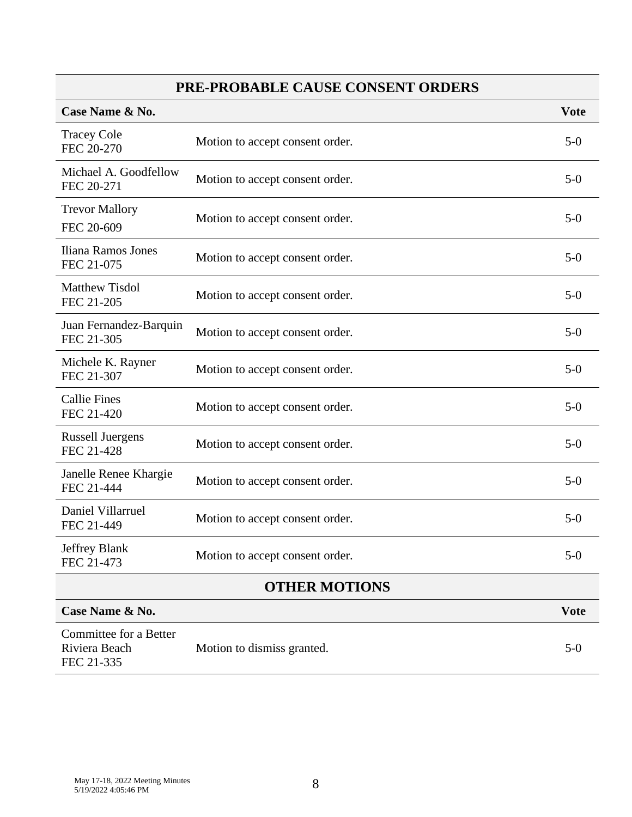# **PRE-PROBABLE CAUSE CONSENT ORDERS**

| Case Name & No.                                       |                                 | <b>Vote</b> |
|-------------------------------------------------------|---------------------------------|-------------|
| <b>Tracey Cole</b><br>FEC 20-270                      | Motion to accept consent order. | $5-0$       |
| Michael A. Goodfellow<br>FEC 20-271                   | Motion to accept consent order. | $5-0$       |
| <b>Trevor Mallory</b><br>FEC 20-609                   | Motion to accept consent order. | $5-0$       |
| Iliana Ramos Jones<br>FEC 21-075                      | Motion to accept consent order. | $5-0$       |
| <b>Matthew Tisdol</b><br>FEC 21-205                   | Motion to accept consent order. | $5-0$       |
| Juan Fernandez-Barquin<br>FEC 21-305                  | Motion to accept consent order. | $5-0$       |
| Michele K. Rayner<br>FEC 21-307                       | Motion to accept consent order. | $5-0$       |
| <b>Callie Fines</b><br>FEC 21-420                     | Motion to accept consent order. | $5-0$       |
| <b>Russell Juergens</b><br>FEC 21-428                 | Motion to accept consent order. | $5-0$       |
| Janelle Renee Khargie<br>FEC 21-444                   | Motion to accept consent order. | $5-0$       |
| Daniel Villarruel<br>FEC 21-449                       | Motion to accept consent order. | $5-0$       |
| Jeffrey Blank<br>FEC 21-473                           | Motion to accept consent order. | $5-0$       |
| <b>OTHER MOTIONS</b>                                  |                                 |             |
| Case Name & No.                                       |                                 | <b>Vote</b> |
| Committee for a Better<br>Riviera Beach<br>FEC 21-335 | Motion to dismiss granted.      | $5-0$       |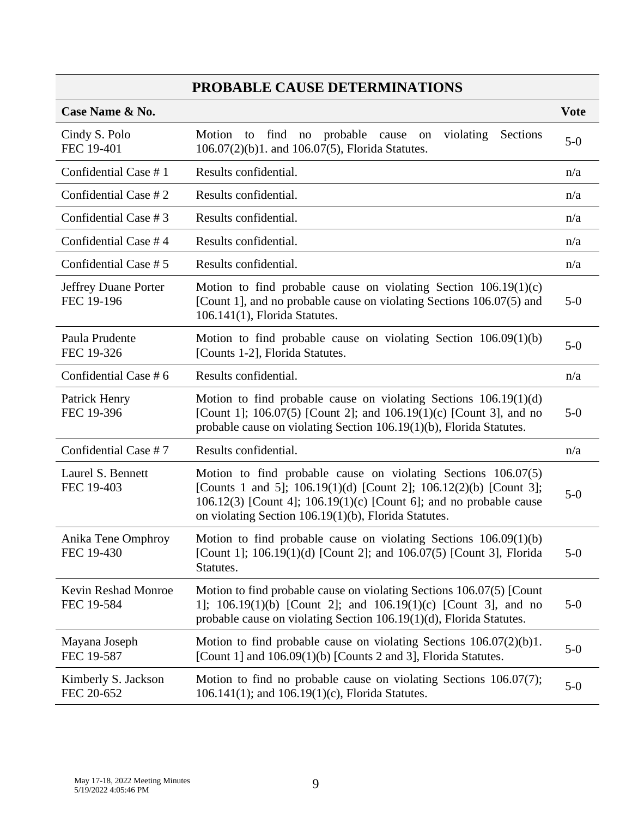# **PROBABLE CAUSE DETERMINATIONS**

| Case Name & No.                          |                                                                                                                                                                                                                                                                    | <b>Vote</b> |
|------------------------------------------|--------------------------------------------------------------------------------------------------------------------------------------------------------------------------------------------------------------------------------------------------------------------|-------------|
| Cindy S. Polo<br>FEC 19-401              | Motion to find no probable cause on<br>violating<br>Sections<br>106.07(2)(b)1. and 106.07(5), Florida Statutes.                                                                                                                                                    | $5-0$       |
| Confidential Case #1                     | Results confidential.                                                                                                                                                                                                                                              | n/a         |
| Confidential Case # 2                    | Results confidential.                                                                                                                                                                                                                                              | n/a         |
| Confidential Case # 3                    | Results confidential.                                                                                                                                                                                                                                              | n/a         |
| Confidential Case #4                     | Results confidential.                                                                                                                                                                                                                                              | n/a         |
| Confidential Case # 5                    | Results confidential.                                                                                                                                                                                                                                              | n/a         |
| Jeffrey Duane Porter<br>FEC 19-196       | Motion to find probable cause on violating Section $106.19(1)(c)$<br>[Count 1], and no probable cause on violating Sections 106.07(5) and<br>106.141(1), Florida Statutes.                                                                                         | $5-0$       |
| Paula Prudente<br>FEC 19-326             | Motion to find probable cause on violating Section $106.09(1)(b)$<br>[Counts 1-2], Florida Statutes.                                                                                                                                                               | $5-0$       |
| Confidential Case # 6                    | Results confidential.                                                                                                                                                                                                                                              | n/a         |
| Patrick Henry<br>FEC 19-396              | Motion to find probable cause on violating Sections $106.19(1)(d)$<br>[Count 1]; 106.07(5) [Count 2]; and $106.19(1)(c)$ [Count 3], and no<br>probable cause on violating Section 106.19(1)(b), Florida Statutes.                                                  | $5-0$       |
| Confidential Case #7                     | Results confidential.                                                                                                                                                                                                                                              | n/a         |
| Laurel S. Bennett<br>FEC 19-403          | Motion to find probable cause on violating Sections $106.07(5)$<br>[Counts 1 and 5]; 106.19(1)(d) [Count 2]; 106.12(2)(b) [Count 3];<br>106.12(3) [Count 4]; 106.19(1)(c) [Count 6]; and no probable cause<br>on violating Section 106.19(1)(b), Florida Statutes. | $5-0$       |
| Anika Tene Omphroy<br>FEC 19-430         | Motion to find probable cause on violating Sections $106.09(1)(b)$<br>[Count 1]; 106.19(1)(d) [Count 2]; and 106.07(5) [Count 3], Florida<br>Statutes.                                                                                                             | $5-0$       |
| <b>Kevin Reshad Monroe</b><br>FEC 19-584 | Motion to find probable cause on violating Sections 106.07(5) [Count<br>1]; $106.19(1)(b)$ [Count 2]; and $106.19(1)(c)$ [Count 3], and no<br>probable cause on violating Section 106.19(1)(d), Florida Statutes.                                                  | $5-0$       |
| Mayana Joseph<br>FEC 19-587              | Motion to find probable cause on violating Sections $106.07(2)(b)1$ .<br>[Count 1] and $106.09(1)(b)$ [Counts 2 and 3], Florida Statutes.                                                                                                                          | $5-0$       |
| Kimberly S. Jackson<br>FEC 20-652        | Motion to find no probable cause on violating Sections $106.07(7)$ ;<br>106.141(1); and 106.19(1)(c), Florida Statutes.                                                                                                                                            | $5-0$       |